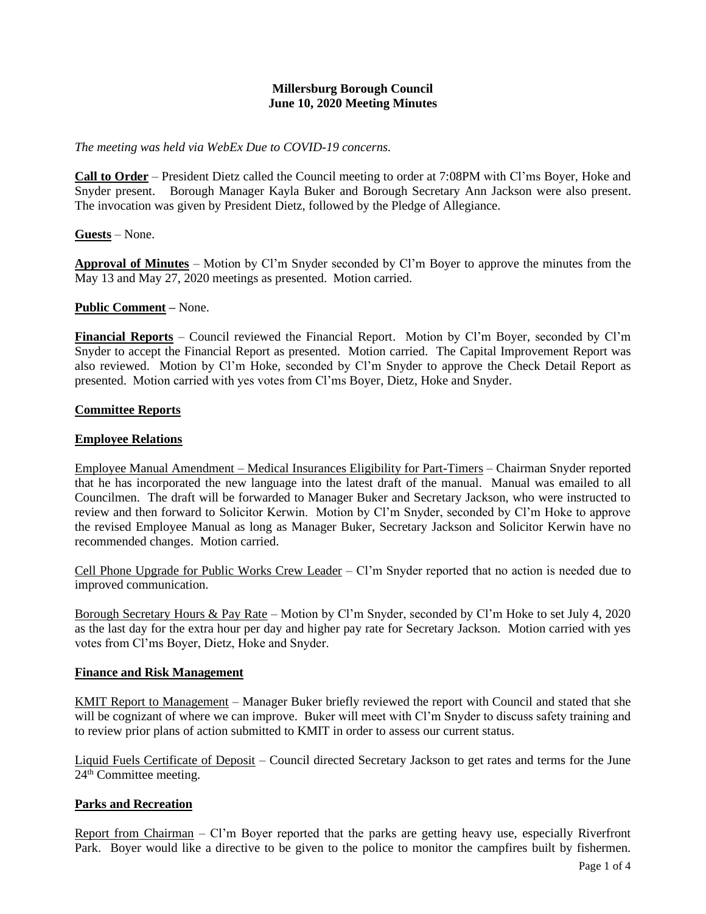# **Millersburg Borough Council June 10, 2020 Meeting Minutes**

*The meeting was held via WebEx Due to COVID-19 concerns.*

**Call to Order** – President Dietz called the Council meeting to order at 7:08PM with Cl'ms Boyer, Hoke and Snyder present. Borough Manager Kayla Buker and Borough Secretary Ann Jackson were also present. The invocation was given by President Dietz, followed by the Pledge of Allegiance.

**Guests** – None.

**Approval of Minutes** – Motion by Cl'm Snyder seconded by Cl'm Boyer to approve the minutes from the May 13 and May 27, 2020 meetings as presented. Motion carried.

## **Public Comment –** None.

**Financial Reports** – Council reviewed the Financial Report. Motion by Cl'm Boyer, seconded by Cl'm Snyder to accept the Financial Report as presented. Motion carried. The Capital Improvement Report was also reviewed. Motion by Cl'm Hoke, seconded by Cl'm Snyder to approve the Check Detail Report as presented. Motion carried with yes votes from Cl'ms Boyer, Dietz, Hoke and Snyder.

## **Committee Reports**

## **Employee Relations**

Employee Manual Amendment – Medical Insurances Eligibility for Part-Timers – Chairman Snyder reported that he has incorporated the new language into the latest draft of the manual. Manual was emailed to all Councilmen. The draft will be forwarded to Manager Buker and Secretary Jackson, who were instructed to review and then forward to Solicitor Kerwin. Motion by Cl'm Snyder, seconded by Cl'm Hoke to approve the revised Employee Manual as long as Manager Buker, Secretary Jackson and Solicitor Kerwin have no recommended changes. Motion carried.

Cell Phone Upgrade for Public Works Crew Leader – Cl'm Snyder reported that no action is needed due to improved communication.

Borough Secretary Hours & Pay Rate – Motion by Cl'm Snyder, seconded by Cl'm Hoke to set July 4, 2020 as the last day for the extra hour per day and higher pay rate for Secretary Jackson. Motion carried with yes votes from Cl'ms Boyer, Dietz, Hoke and Snyder.

#### **Finance and Risk Management**

KMIT Report to Management – Manager Buker briefly reviewed the report with Council and stated that she will be cognizant of where we can improve. Buker will meet with Cl'm Snyder to discuss safety training and to review prior plans of action submitted to KMIT in order to assess our current status.

Liquid Fuels Certificate of Deposit – Council directed Secretary Jackson to get rates and terms for the June 24th Committee meeting.

# **Parks and Recreation**

Report from Chairman – Cl'm Boyer reported that the parks are getting heavy use, especially Riverfront Park. Boyer would like a directive to be given to the police to monitor the campfires built by fishermen.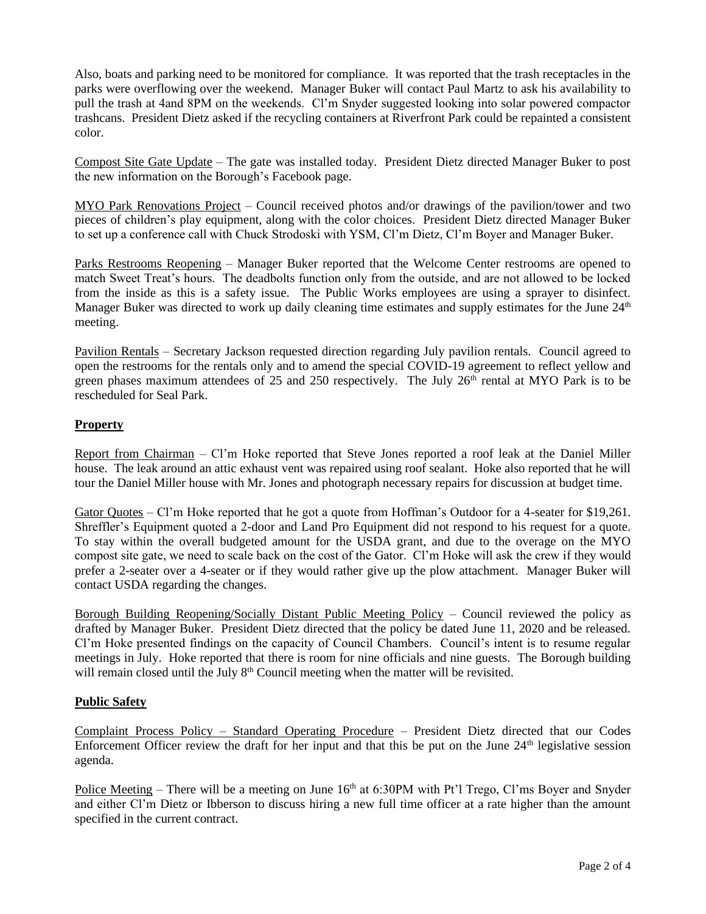Also, boats and parking need to be monitored for compliance. It was reported that the trash receptacles in the parks were overflowing over the weekend. Manager Buker will contact Paul Martz to ask his availability to pull the trash at 4and 8PM on the weekends. Cl'm Snyder suggested looking into solar powered compactor trashcans. President Dietz asked if the recycling containers at Riverfront Park could be repainted a consistent color.

Compost Site Gate Update – The gate was installed today. President Dietz directed Manager Buker to post the new information on the Borough's Facebook page.

MYO Park Renovations Project – Council received photos and/or drawings of the pavilion/tower and two pieces of children's play equipment, along with the color choices. President Dietz directed Manager Buker to set up a conference call with Chuck Strodoski with YSM, Cl'm Dietz, Cl'm Boyer and Manager Buker.

Parks Restrooms Reopening – Manager Buker reported that the Welcome Center restrooms are opened to match Sweet Treat's hours. The deadbolts function only from the outside, and are not allowed to be locked from the inside as this is a safety issue. The Public Works employees are using a sprayer to disinfect. Manager Buker was directed to work up daily cleaning time estimates and supply estimates for the June  $24<sup>th</sup>$ meeting.

Pavilion Rentals – Secretary Jackson requested direction regarding July pavilion rentals. Council agreed to open the restrooms for the rentals only and to amend the special COVID-19 agreement to reflect yellow and green phases maximum attendees of 25 and 250 respectively. The July 26<sup>th</sup> rental at MYO Park is to be rescheduled for Seal Park.

# **Property**

Report from Chairman – Cl'm Hoke reported that Steve Jones reported a roof leak at the Daniel Miller house. The leak around an attic exhaust vent was repaired using roof sealant. Hoke also reported that he will tour the Daniel Miller house with Mr. Jones and photograph necessary repairs for discussion at budget time.

Gator Quotes – Cl'm Hoke reported that he got a quote from Hoffman's Qutdoor for a 4-seater for \$19,261. Shreffler's Equipment quoted a 2-door and Land Pro Equipment did not respond to his request for a quote. To stay within the overall budgeted amount for the USDA grant, and due to the overage on the MYO compost site gate, we need to scale back on the cost of the Gator. Cl'm Hoke will ask the crew if they would prefer a 2-seater over a 4-seater or if they would rather give up the plow attachment. Manager Buker will contact USDA regarding the changes.

Borough Building Reopening/Socially Distant Public Meeting Policy – Council reviewed the policy as drafted by Manager Buker. President Dietz directed that the policy be dated June 11, 2020 and be released. Cl'm Hoke presented findings on the capacity of Council Chambers. Council's intent is to resume regular meetings in July. Hoke reported that there is room for nine officials and nine guests. The Borough building will remain closed until the July  $8<sup>th</sup>$  Council meeting when the matter will be revisited.

# **Public Safety**

Complaint Process Policy – Standard Operating Procedure – President Dietz directed that our Codes Enforcement Officer review the draft for her input and that this be put on the June  $24<sup>th</sup>$  legislative session agenda.

Police Meeting – There will be a meeting on June  $16<sup>th</sup>$  at 6:30PM with Pt'l Trego, Cl'ms Boyer and Snyder and either Cl'm Dietz or Ibberson to discuss hiring a new full time officer at a rate higher than the amount specified in the current contract.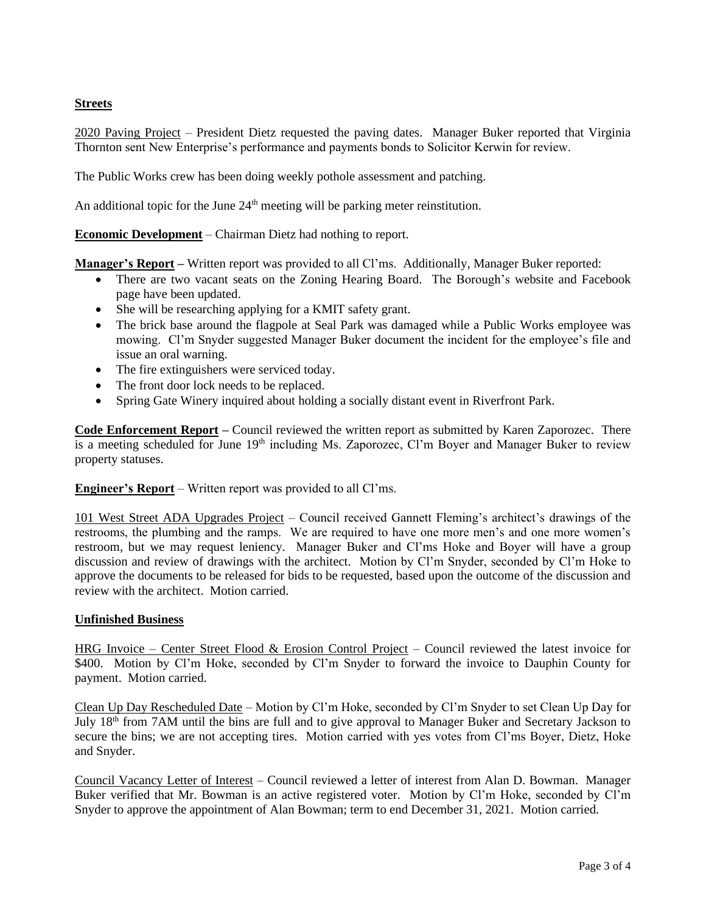# **Streets**

2020 Paving Project – President Dietz requested the paving dates. Manager Buker reported that Virginia Thornton sent New Enterprise's performance and payments bonds to Solicitor Kerwin for review.

The Public Works crew has been doing weekly pothole assessment and patching.

An additional topic for the June  $24<sup>th</sup>$  meeting will be parking meter reinstitution.

**Economic Development** – Chairman Dietz had nothing to report.

**Manager's Report –** Written report was provided to all Cl'ms. Additionally, Manager Buker reported:

- There are two vacant seats on the Zoning Hearing Board. The Borough's website and Facebook page have been updated.
- She will be researching applying for a KMIT safety grant.
- The brick base around the flagpole at Seal Park was damaged while a Public Works employee was mowing. Cl'm Snyder suggested Manager Buker document the incident for the employee's file and issue an oral warning.
- The fire extinguishers were serviced today.
- The front door lock needs to be replaced.
- Spring Gate Winery inquired about holding a socially distant event in Riverfront Park.

**Code Enforcement Report –** Council reviewed the written report as submitted by Karen Zaporozec. There is a meeting scheduled for June 19<sup>th</sup> including Ms. Zaporozec, Cl'm Boyer and Manager Buker to review property statuses.

**Engineer's Report** – Written report was provided to all Cl'ms.

101 West Street ADA Upgrades Project – Council received Gannett Fleming's architect's drawings of the restrooms, the plumbing and the ramps. We are required to have one more men's and one more women's restroom, but we may request leniency. Manager Buker and Cl'ms Hoke and Boyer will have a group discussion and review of drawings with the architect. Motion by Cl'm Snyder, seconded by Cl'm Hoke to approve the documents to be released for bids to be requested, based upon the outcome of the discussion and review with the architect. Motion carried.

#### **Unfinished Business**

HRG Invoice – Center Street Flood & Erosion Control Project – Council reviewed the latest invoice for \$400. Motion by Cl'm Hoke, seconded by Cl'm Snyder to forward the invoice to Dauphin County for payment. Motion carried.

Clean Up Day Rescheduled Date – Motion by Cl'm Hoke, seconded by Cl'm Snyder to set Clean Up Day for July 18<sup>th</sup> from 7AM until the bins are full and to give approval to Manager Buker and Secretary Jackson to secure the bins; we are not accepting tires. Motion carried with yes votes from Cl'ms Boyer, Dietz, Hoke and Snyder.

Council Vacancy Letter of Interest – Council reviewed a letter of interest from Alan D. Bowman. Manager Buker verified that Mr. Bowman is an active registered voter. Motion by Cl'm Hoke, seconded by Cl'm Snyder to approve the appointment of Alan Bowman; term to end December 31, 2021. Motion carried.